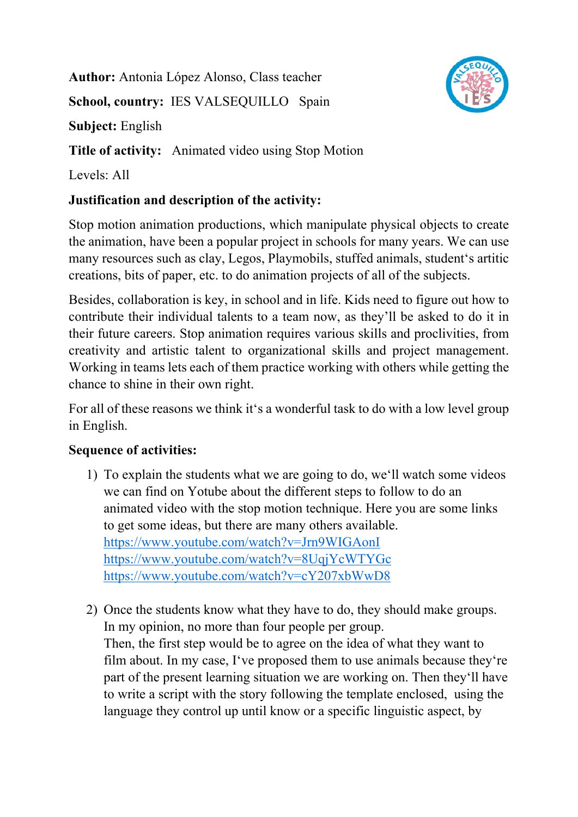**Author:** Antonia López Alonso, Class teacher **School, country:** IES VALSEQUILLO Spain **Subject:** English **Title of activity:** Animated video using Stop Motion

Levels: All

## **Justification and description of the activity:**

Stop motion animation productions, which manipulate physical objects to create the animation, have been a popular project in schools for many years. We can use many resources such as clay, Legos, Playmobils, stuffed animals, student's artitic creations, bits of paper, etc. to do animation projects of all of the subjects.

Besides, collaboration is key, in school and in life. Kids need to figure out how to contribute their individual talents to a team now, as they'll be asked to do it in their future careers. Stop animation requires various skills and proclivities, from creativity and artistic talent to organizational skills and project management. Working in teams lets each of them practice working with others while getting the chance to shine in their own right.

For all of these reasons we think it's a wonderful task to do with a low level group in English.

## **Sequence of activities:**

- 1) To explain the students what we are going to do, we'll watch some videos we can find on Yotube about the different steps to follow to do an animated video with the stop motion technique. Here you are some links to get some ideas, but there are many others available. https://www.youtube.com/watch?v=Jrn9WIGAonI https://www.youtube.com/watch?v=8UqjYcWTYGc https://www.youtube.com/watch?v=cY207xbWwD8
- 2) Once the students know what they have to do, they should make groups. In my opinion, no more than four people per group. Then, the first step would be to agree on the idea of what they want to film about. In my case, I've proposed them to use animals because they're part of the present learning situation we are working on. Then they'll have to write a script with the story following the template enclosed, using the language they control up until know or a specific linguistic aspect, by